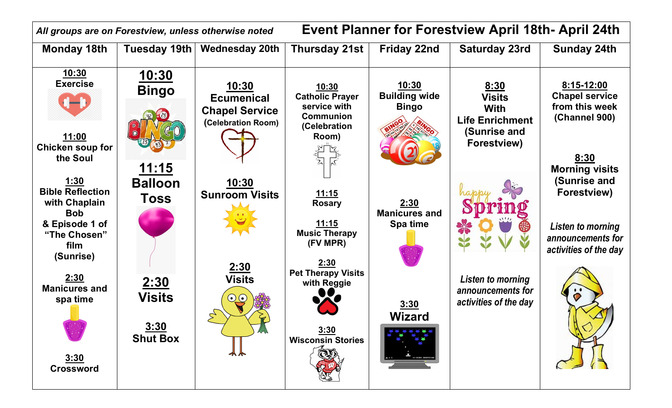